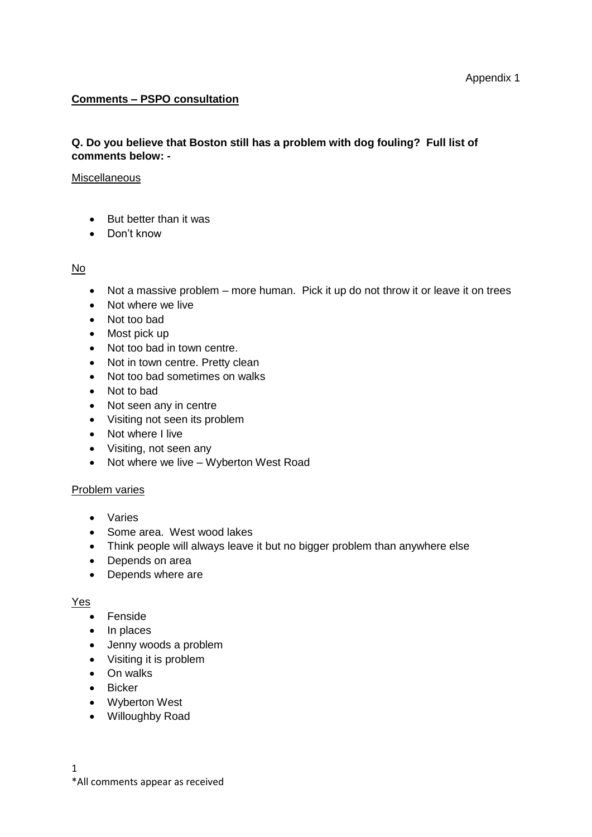## **Comments – PSPO consultation**

## **Q. Do you believe that Boston still has a problem with dog fouling? Full list of comments below: -**

#### **Miscellaneous**

- But better than it was
- Don't know

No

- Not a massive problem more human. Pick it up do not throw it or leave it on trees
- Not where we live
- Not too bad
- Most pick up
- Not too bad in town centre.
- Not in town centre. Pretty clean
- Not too bad sometimes on walks
- Not to bad
- Not seen any in centre
- Visiting not seen its problem
- Not where I live
- Visiting, not seen any
- Not where we live Wyberton West Road

### Problem varies

- Varies
- Some area. West wood lakes
- Think people will always leave it but no bigger problem than anywhere else
- Depends on area
- Depends where are

## Yes

- Fenside
- In places
- Jenny woods a problem
- Visiting it is problem
- On walks
- Bicker
- Wyberton West
- Willoughby Road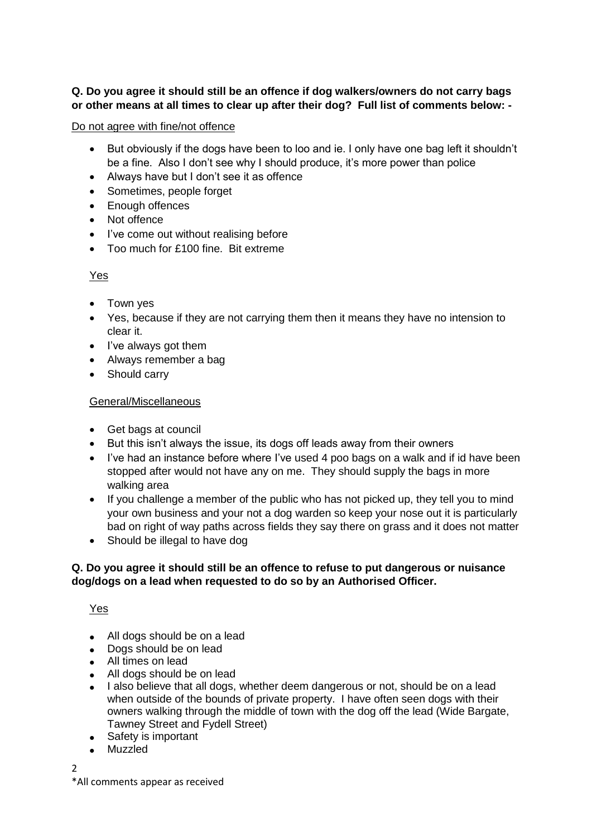# **Q. Do you agree it should still be an offence if dog walkers/owners do not carry bags or other means at all times to clear up after their dog? Full list of comments below: -**

## Do not agree with fine/not offence

- But obviously if the dogs have been to loo and ie. I only have one bag left it shouldn't be a fine. Also I don't see why I should produce, it's more power than police
- Always have but I don't see it as offence
- Sometimes, people forget
- Enough offences
- Not offence
- I've come out without realising before
- Too much for £100 fine. Bit extreme

# Yes

- Town yes
- Yes, because if they are not carrying them then it means they have no intension to clear it.
- I've always got them
- Always remember a bag
- Should carry

# General/Miscellaneous

- Get bags at council
- But this isn't always the issue, its dogs off leads away from their owners
- I've had an instance before where I've used 4 poo bags on a walk and if id have been stopped after would not have any on me. They should supply the bags in more walking area
- If you challenge a member of the public who has not picked up, they tell you to mind your own business and your not a dog warden so keep your nose out it is particularly bad on right of way paths across fields they say there on grass and it does not matter
- Should be illegal to have dog

# **Q. Do you agree it should still be an offence to refuse to put dangerous or nuisance dog/dogs on a lead when requested to do so by an Authorised Officer.**

Yes

- All dogs should be on a lead
- Dogs should be on lead
- All times on lead
- All dogs should be on lead
- I also believe that all dogs, whether deem dangerous or not, should be on a lead when outside of the bounds of private property. I have often seen dogs with their owners walking through the middle of town with the dog off the lead (Wide Bargate, Tawney Street and Fydell Street)
- Safety is important
- Muzzled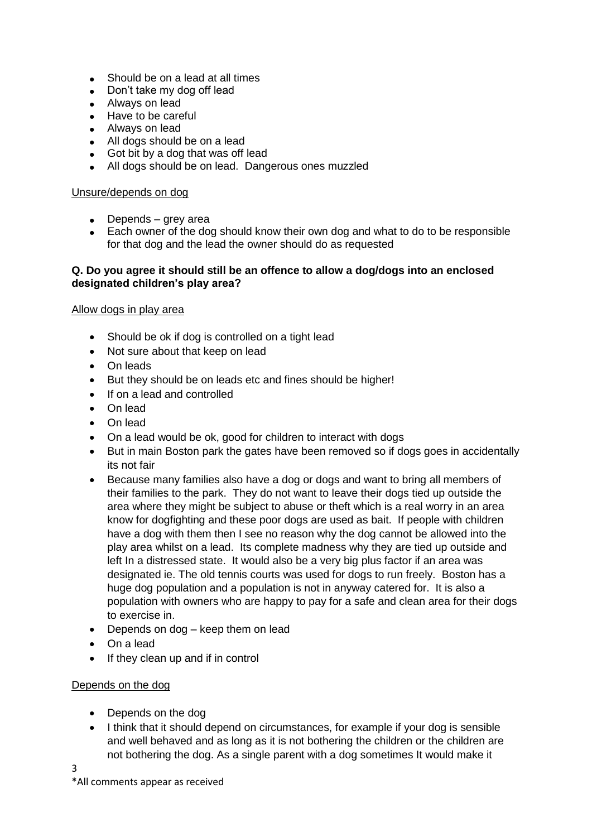- Should be on a lead at all times
- Don't take my dog off lead
- Always on lead
- Have to be careful
- Always on lead
- All dogs should be on a lead
- Got bit by a dog that was off lead
- All dogs should be on lead. Dangerous ones muzzled

#### Unsure/depends on dog

- Depends grey area
- Each owner of the dog should know their own dog and what to do to be responsible for that dog and the lead the owner should do as requested

### **Q. Do you agree it should still be an offence to allow a dog/dogs into an enclosed designated children's play area?**

### Allow dogs in play area

- Should be ok if dog is controlled on a tight lead
- Not sure about that keep on lead
- On leads
- But they should be on leads etc and fines should be higher!
- If on a lead and controlled
- On lead
- On lead
- On a lead would be ok, good for children to interact with dogs
- But in main Boston park the gates have been removed so if dogs goes in accidentally its not fair
- Because many families also have a dog or dogs and want to bring all members of their families to the park. They do not want to leave their dogs tied up outside the area where they might be subject to abuse or theft which is a real worry in an area know for dogfighting and these poor dogs are used as bait. If people with children have a dog with them then I see no reason why the dog cannot be allowed into the play area whilst on a lead. Its complete madness why they are tied up outside and left In a distressed state. It would also be a very big plus factor if an area was designated ie. The old tennis courts was used for dogs to run freely. Boston has a huge dog population and a population is not in anyway catered for. It is also a population with owners who are happy to pay for a safe and clean area for their dogs to exercise in.
- Depends on dog keep them on lead
- On a lead
- If they clean up and if in control

### Depends on the dog

- Depends on the dog
- I think that it should depend on circumstances, for example if your dog is sensible and well behaved and as long as it is not bothering the children or the children are not bothering the dog. As a single parent with a dog sometimes It would make it